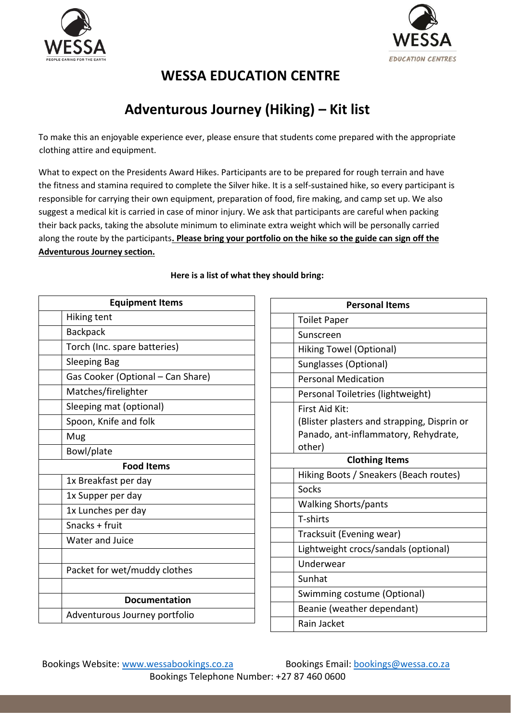



## **WESSA EDUCATION CENTRE**

# **Adventurous Journey (Hiking) – Kit list**

To make this an enjoyable experience ever, please ensure that students come prepared with the appropriate clothing attire and equipment.

What to expect on the Presidents Award Hikes. Participants are to be prepared for rough terrain and have the fitness and stamina required to complete the Silver hike. It is a self-sustained hike, so every participant is responsible for carrying their own equipment, preparation of food, fire making, and camp set up. We also suggest a medical kit is carried in case of minor injury. We ask that participants are careful when packing their back packs, taking the absolute minimum to eliminate extra weight which will be personally carried along the route by the participants**. Please bring your portfolio on the hike so the guide can sign off the Adventurous Journey section.**

| <b>Equipment Items</b> |                                   |  |  |  |  |
|------------------------|-----------------------------------|--|--|--|--|
|                        | Hiking tent                       |  |  |  |  |
|                        | <b>Backpack</b>                   |  |  |  |  |
|                        | Torch (Inc. spare batteries)      |  |  |  |  |
|                        | <b>Sleeping Bag</b>               |  |  |  |  |
|                        | Gas Cooker (Optional - Can Share) |  |  |  |  |
|                        | Matches/firelighter               |  |  |  |  |
|                        | Sleeping mat (optional)           |  |  |  |  |
|                        | Spoon, Knife and folk             |  |  |  |  |
|                        | Mug                               |  |  |  |  |
|                        | Bowl/plate                        |  |  |  |  |
| <b>Food Items</b>      |                                   |  |  |  |  |
|                        | 1x Breakfast per day              |  |  |  |  |
|                        | 1x Supper per day                 |  |  |  |  |
|                        | 1x Lunches per day                |  |  |  |  |
|                        | Snacks + fruit                    |  |  |  |  |
|                        | <b>Water and Juice</b>            |  |  |  |  |
|                        |                                   |  |  |  |  |
|                        | Packet for wet/muddy clothes      |  |  |  |  |
|                        |                                   |  |  |  |  |
|                        | <b>Documentation</b>              |  |  |  |  |
|                        | Adventurous Journey portfolio     |  |  |  |  |
|                        |                                   |  |  |  |  |

#### **Here is a list of what they should bring:**

| <b>Personal Items</b> |                                             |  |  |  |  |  |
|-----------------------|---------------------------------------------|--|--|--|--|--|
|                       | <b>Toilet Paper</b>                         |  |  |  |  |  |
|                       | Sunscreen                                   |  |  |  |  |  |
|                       | <b>Hiking Towel (Optional)</b>              |  |  |  |  |  |
|                       | Sunglasses (Optional)                       |  |  |  |  |  |
|                       | <b>Personal Medication</b>                  |  |  |  |  |  |
|                       | Personal Toiletries (lightweight)           |  |  |  |  |  |
|                       | First Aid Kit:                              |  |  |  |  |  |
|                       | (Blister plasters and strapping, Disprin or |  |  |  |  |  |
|                       | Panado, ant-inflammatory, Rehydrate,        |  |  |  |  |  |
|                       | other)                                      |  |  |  |  |  |
| <b>Clothing Items</b> |                                             |  |  |  |  |  |
|                       | Hiking Boots / Sneakers (Beach routes)      |  |  |  |  |  |
|                       | Socks                                       |  |  |  |  |  |
|                       | <b>Walking Shorts/pants</b>                 |  |  |  |  |  |
|                       | T-shirts                                    |  |  |  |  |  |
|                       | Tracksuit (Evening wear)                    |  |  |  |  |  |
|                       | Lightweight crocs/sandals (optional)        |  |  |  |  |  |
|                       | Underwear                                   |  |  |  |  |  |
|                       | Sunhat                                      |  |  |  |  |  |
|                       | Swimming costume (Optional)                 |  |  |  |  |  |
|                       | Beanie (weather dependant)                  |  |  |  |  |  |
|                       | Rain Jacket                                 |  |  |  |  |  |